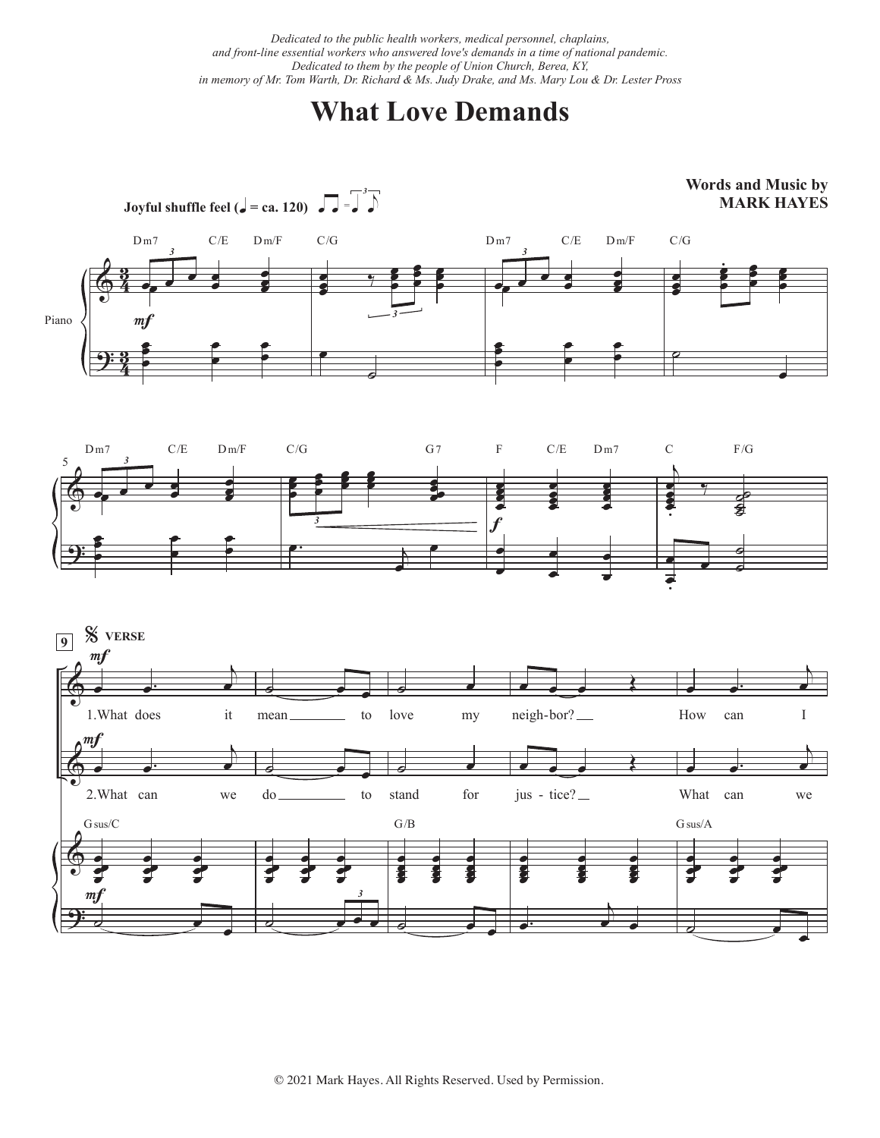*Dedicated to the public health workers, medical personnel, chaplains, and front-line essential workers who answered love's demands in a time of national pandemic. Dedicated to them by the people of Union Church, Berea, KY, in memory of Mr. Tom Warth, Dr. Richard & Ms. Judy Drake, and Ms. Mary Lou & Dr. Lester Pross* 

## **What Love Demands**







© 2021 Mark Hayes. All Rights Reserved. Used by Permission.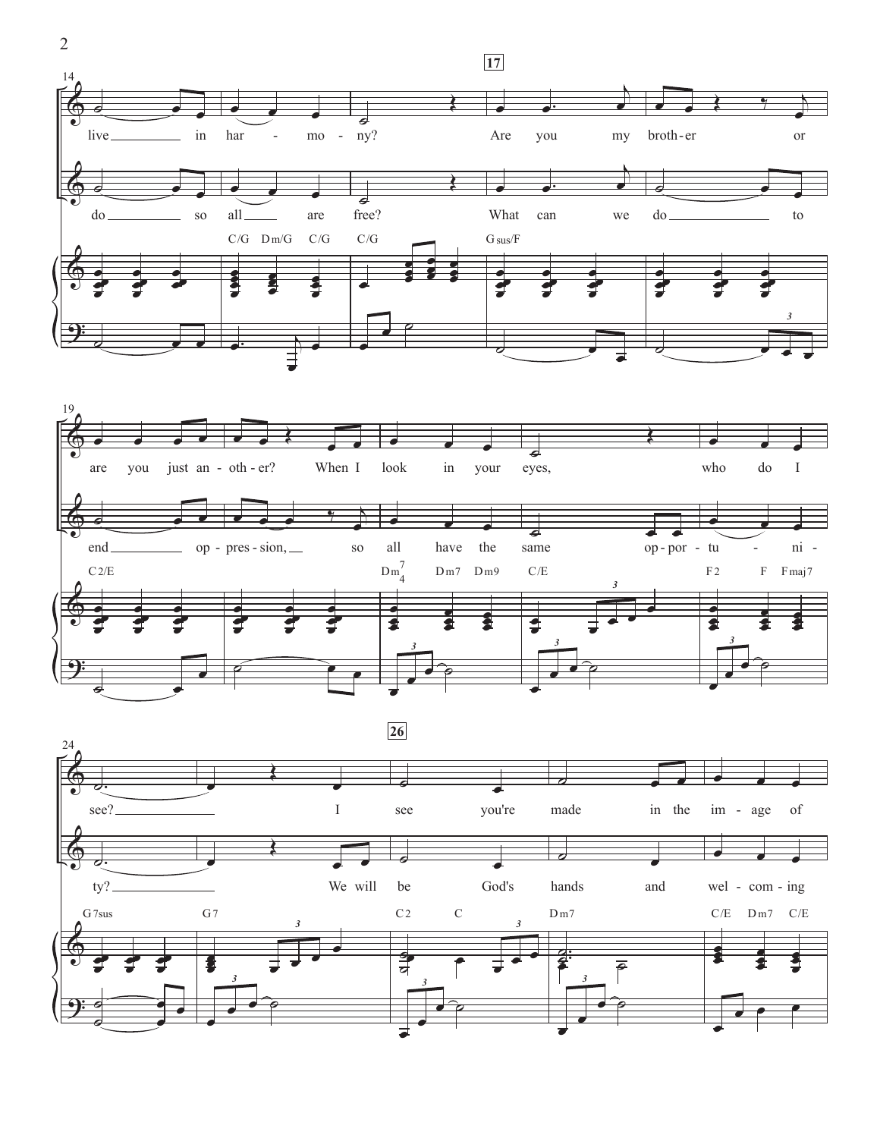





 $\overline{2}$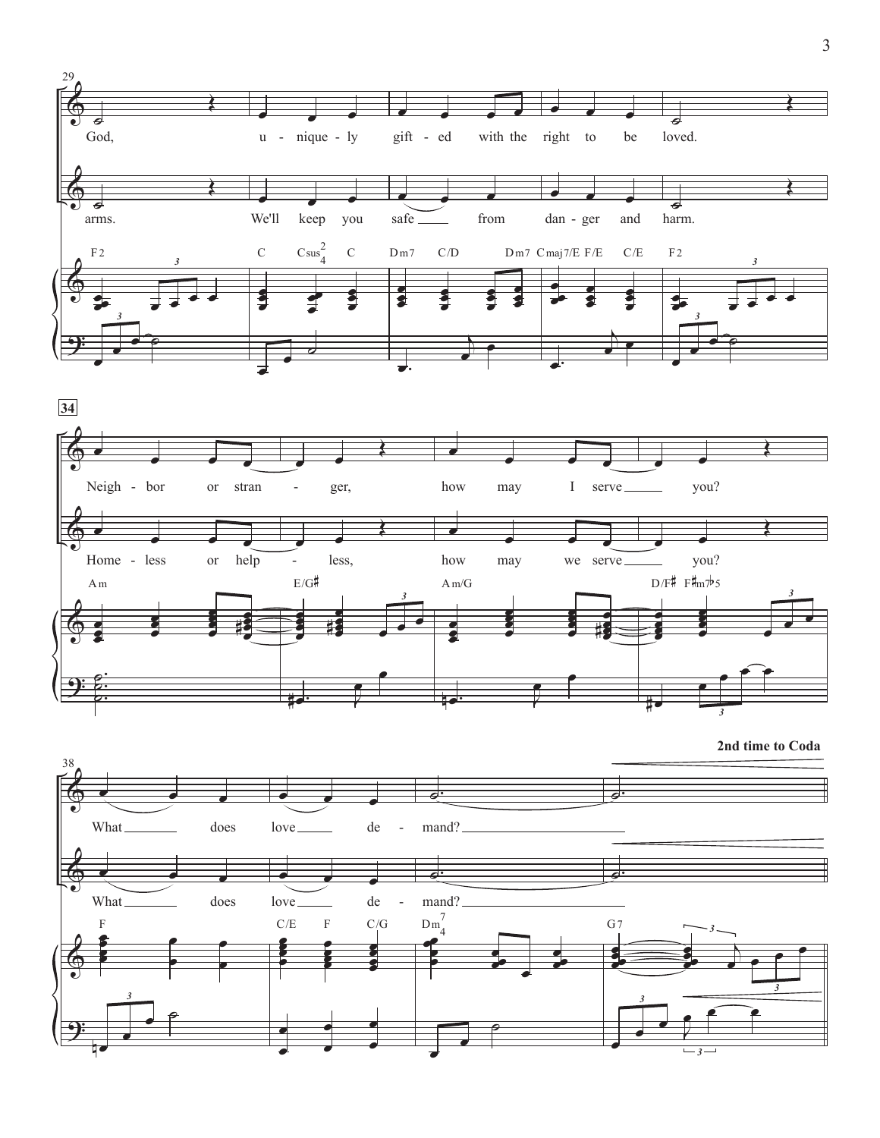



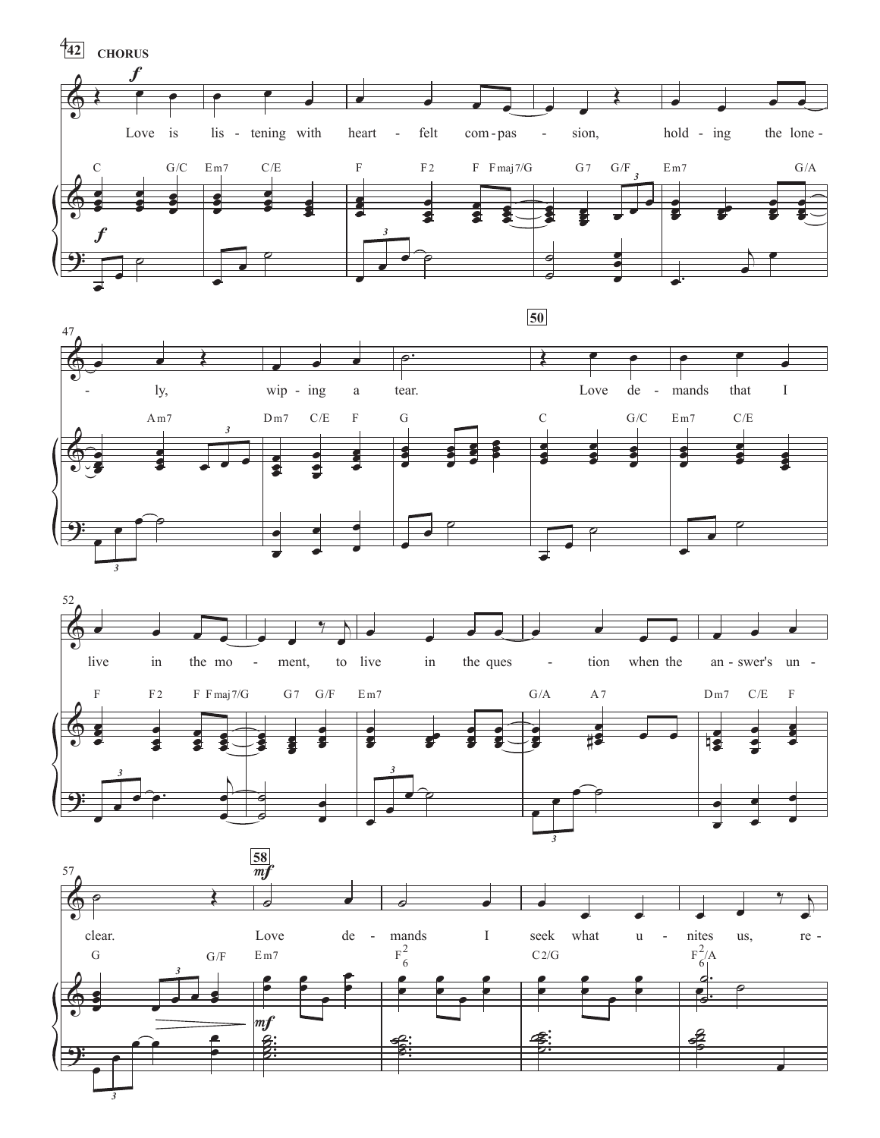





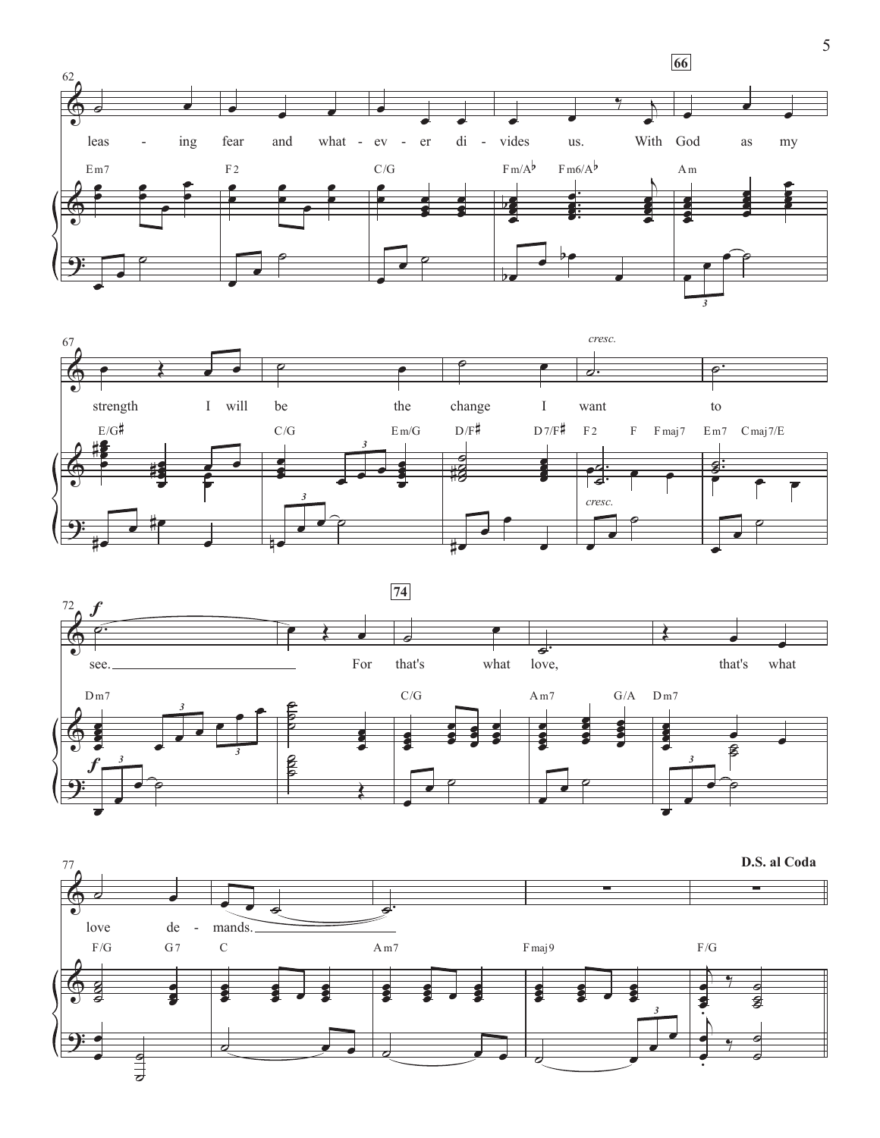





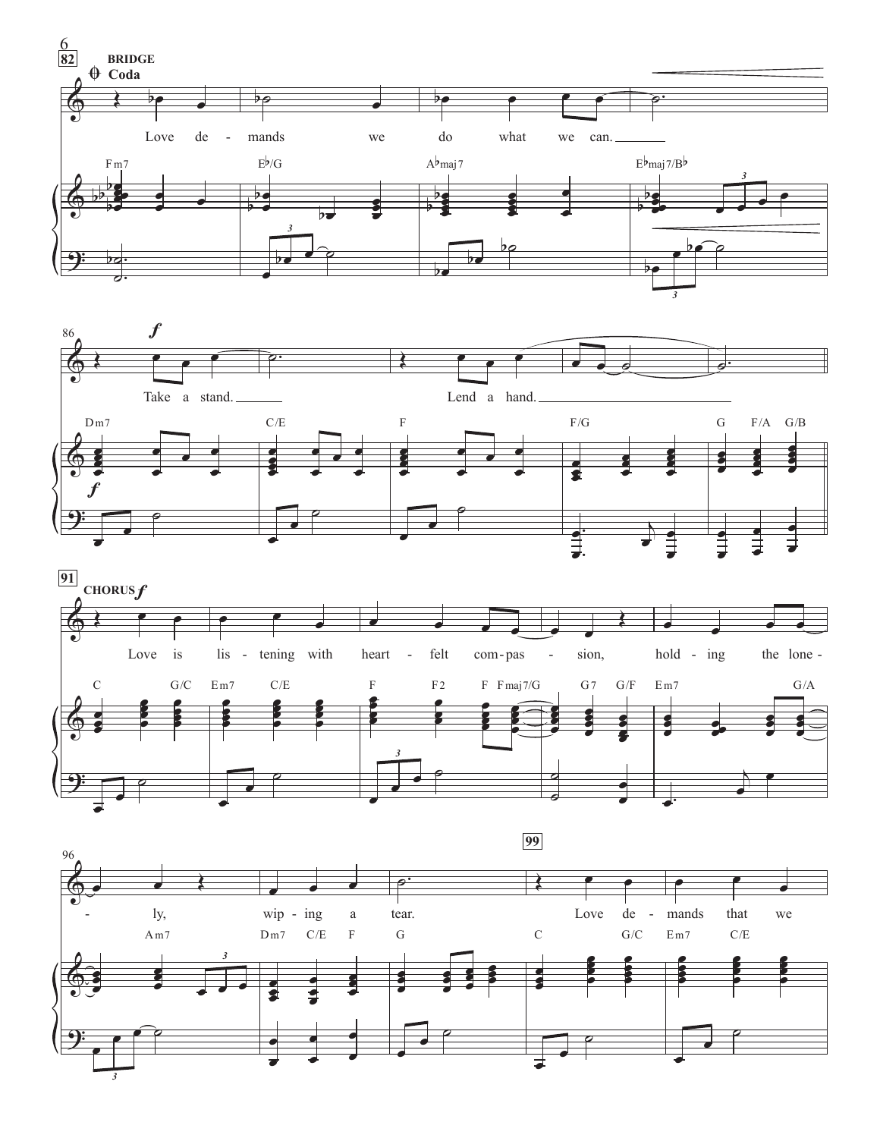





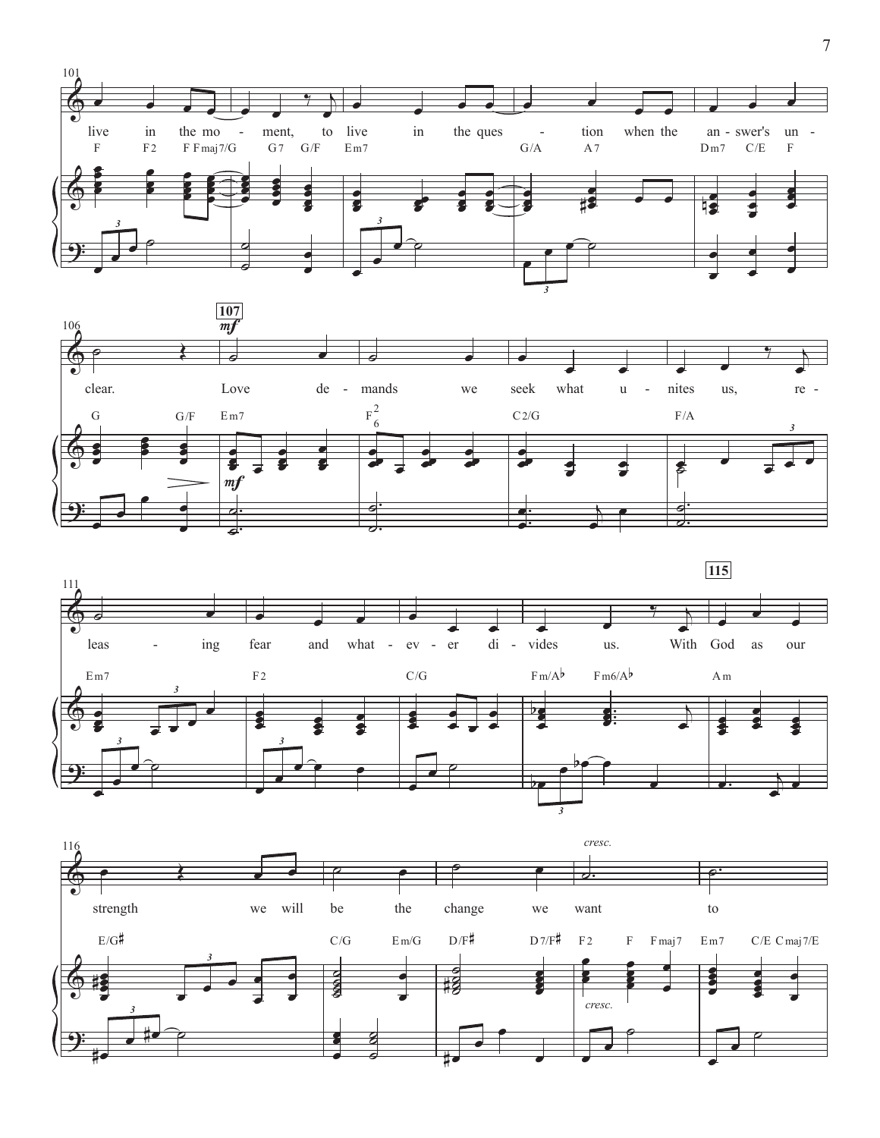